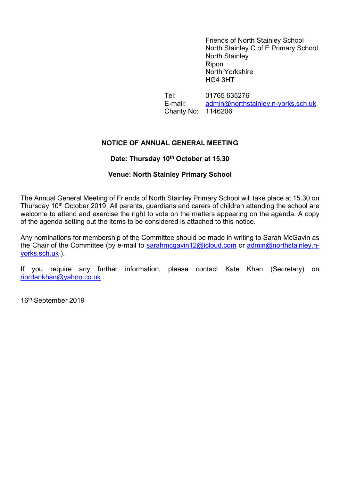Friends of North Stainley School North Stainley C of E Primary School North Stainley Ripon North Yorkshire HG4 3HT

Tel: 01765 635276 E-mail: admin@northstainley.n-yorks.sch.uk Charity No: 1146206

### NOTICE OF ANNUAL GENERAL MEETING

# Date: Thursday 10<sup>th</sup> October at 15.30

# Venue: North Stainley Primary School

The Annual General Meeting of Friends of North Stainley Primary School will take place at 15.30 on Thursday 10<sup>th</sup> October 2019. All parents, guardians and carers of children attending the school are welcome to attend and exercise the right to vote on the matters appearing on the agenda. A copy of the agenda setting out the items to be considered is attached to this notice.

Any nominations for membership of the Committee should be made in writing to Sarah McGavin as the Chair of the Committee (by e-mail to sarahmcgavin12@icloud.com or admin@northstainley.nyorks.sch.uk ).

If you require any further information, please contact Kate Khan (Secretary) on riordankhan@yahoo.co.uk

16th September 2019